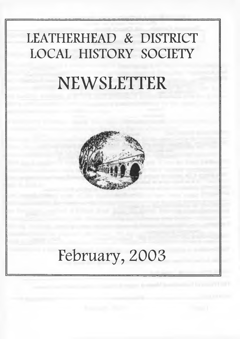### LEATHERHEAD & DISTRICT LOCAL HISTORY SOCIETY

# NEWSLETTER



## February, 2003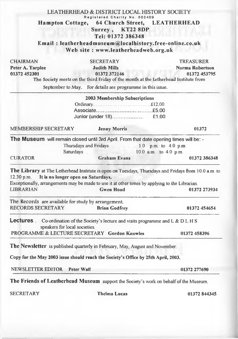|                              | LEATHERHEAD & DISTRICT LOCAL HISTORY SOCIETY                                                                                              |                                                                                                      |
|------------------------------|-------------------------------------------------------------------------------------------------------------------------------------------|------------------------------------------------------------------------------------------------------|
|                              | Registered Charity No. 802409<br><b>Hampton Cottage,</b>                                                                                  | 64 Church Street, LEATHERHEAD                                                                        |
|                              | Surrey, KT22 8DP                                                                                                                          |                                                                                                      |
|                              | Tel: 01372 386348                                                                                                                         |                                                                                                      |
|                              | Email: leatherheadmuseum@localhistory.free-online.co.uk                                                                                   |                                                                                                      |
|                              | Web site: www.leatherheadweb.org.uk                                                                                                       |                                                                                                      |
| CHAIRMAN                     | <b>SECRETARY</b>                                                                                                                          | <b>TREASURER</b>                                                                                     |
| Peter A. Tarplee             | <b>Judith Mills</b>                                                                                                                       | Norma Robertson                                                                                      |
| 01372 452301                 | 01372 372146<br>The Society meets on the third Friday of the month at the Letherhead Institute from                                       | 01372 453795                                                                                         |
|                              | September to May. For details see programme in this issue.                                                                                |                                                                                                      |
|                              | 2003 Membership Subscriptions                                                                                                             |                                                                                                      |
|                              |                                                                                                                                           |                                                                                                      |
|                              |                                                                                                                                           |                                                                                                      |
| <b>MEMBERSHIP SECRETARY</b>  | <b>Jenny Morris</b>                                                                                                                       | 01372                                                                                                |
| <b>CURATOR</b>               | Saturdays 10.0 a.m. to 4.0 p.m.<br><b>Graham Evans</b>                                                                                    | 01372 386348                                                                                         |
| $12.30$ p.m.                 | It is no longer open on Saturdays.<br>Exceptionally, arrangements may be made to use it at other times by applying to the Librarian       | The Library at The Letherhead Institute is open on Tuesdays, Thursdays and Fridays from 10.0 a.m. to |
| <b>LIBRARIAN</b>             | <b>Gwen Hoad</b>                                                                                                                          | 01372 273934                                                                                         |
|                              | The Records are available for study by arrangement.                                                                                       |                                                                                                      |
| <b>RECORDS SECRETARY</b>     | <b>Brian Godfrey</b>                                                                                                                      | 01372 454654                                                                                         |
|                              | <b>Lectures</b> $\therefore$ Co-ordination of the Society's lecture and visits programme and L & D L H S<br>speakers for local societies. |                                                                                                      |
|                              | PROGRAMME & LECTURE SECRETARY Gordon Knowles                                                                                              | 01372 458396                                                                                         |
|                              | <b>The Newsletter</b> is published quarterly in February, May, August and November                                                        |                                                                                                      |
|                              | Copy for the May 2003 issue should reach the Society's Office by 25th April, 2003.                                                        |                                                                                                      |
| NEWSLETTER EDITOR Peter Wall |                                                                                                                                           | 01372 277690                                                                                         |
|                              | The Friends of Leatherhead Museum support the Society's work on behalf of the Museum.                                                     |                                                                                                      |
| <b>SECRETARY</b>             | <b>Thelma Lucas</b>                                                                                                                       | 01372 844345                                                                                         |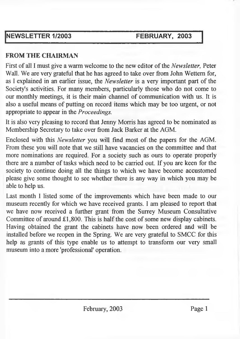#### **NEWSLETTER 1/2003 FEBRUARY, 2003**

#### **FROM THE CHAIRMAN**

First of all I must give a warm welcome to the new editor of the *Newsletter,* Peter Wall. We are very grateful that he has agreed to take over from John Wettem for, as I explained in an earlier issue, the *Newsletter* is a very important part of the Society's activities. For many members, particularly those who do not come to our monthly meetings, it is their main channel of communication with us. It is also a useful means of putting on record items which may be too urgent, or not appropriate to appear in the *Proceedings.*

It is also very pleasing to record that Jenny Morris has agreed to be nominated as Membership Secretary to take over from Jack Barker at the AGM.

Enclosed with this *Newsletter* you will find most of the papers for the AGM. From these you will note that we still have vacancies on the committee and that more nominations are required. For a society such as ours to operate properly there are a number of tasks which need to be carried out. If you are keen for the society to continue doing all the things to which we have become accustomed please give some thought to see whether there is any way in which you may be able to help us.

Last month I listed some of the improvements which have been made to our museum recently for which we have received grants. I am pleased to report that we have now received a further grant from the Surrey Museum Consultative Committee of around £1,800. This is half the cost of some new display cabinets. Having obtained the grant the cabinets have now been ordered and will be installed before we reopen in the Spring. We are very grateful to SMCC for this help as grants of this type enable us to attempt to transform our very small museum into a more 'professional' operation.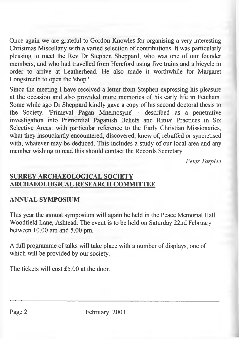Once again we are grateful to Gordon Knowles for organising a very interesting Christmas Miscellany with a varied selection of contributions. It was particularly pleasing to meet the Rev Dr Stephen Sheppard, who was one of our founder members, and who had travelled from Hereford using five trains and a bicycle in order to arrive at Leatherhead. He also made it worthwhile for Margaret Longstreeth to open the 'shop.'

Since the meeting I have received a letter from Stephen expressing his pleasure at the occasion and also provided more memories of his early life in Fetcham. Some while ago Dr Sheppard kindly gave a copy of his second doctoral thesis to the Society. 'Primeval Pagan Mnemosyne' - described as a penetrative investigation into Primordial Paganish Beliefs and Ritual Practices in Six Selective Areas: with particular reference to the Early Christian Missionaries, what they insouciantly encountered, discovered, knew of, rebuffed or syncretised with, whatever may be deduced. This includes a study of our local area and any member wishing to read this should contact the Records Secretary

*Peter Tarplee*

#### **SURREY ARCHAEOLOGICAL SOCIETY ARCHAEOLOGICAL RESEARCH COMMITTEE**

#### **ANNUAL SYMPOSIUM**

This year the annual symposium will again be held in the Peace Memorial Hall, Woodfield Lane, Ashtead. The event is to be held on Saturday 22nd February between 10.00 am and 5.00 pm.

A full programme of talks will take place with a number of displays, one of which will be provided by our society.

The tickets will cost £5.00 at the door.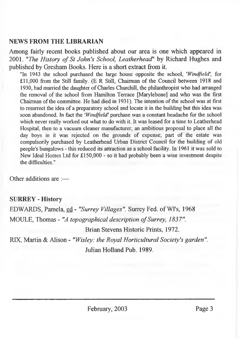#### **NEWS FROM THE LIBRARIAN**

Among fairly recent books published about our area is one which appeared in 2001. *"The History of St John's School, Leatherhead*" by Richard Hughes and published by Gresham Books. Here is a short extract from it.

**"In 1943 the school purchased the large house opposite the school,** *'Windfield',* **for £11,000 from the Still family. (E R Still, Chairman of the Council between 1918 and 1930, had married the daughter of Charles Churchill, the philanthropist who had arranged the removal of the school from Hamilton Terrace [Marylebone] and who was the first Chairman of the committee. He had died in 1931). The intention of the school was at first to resurrect the idea of a preparatory school and locate it in the building but this idea was soon abandoned. In fact the** *'Windfield'* **purchase was a constant headache for the school which never really worked out what to do with it. It was leased for a time to Leatherhead Hospital, then to a vacuum cleaner manufacturer; an ambitious proposal to place all the day boys in it was rejected on the grounds of expense; part of the estate was compulsorily purchased by Leatherhead Urban District Council for the building of old people's bungalows - this reduced its attraction as a school facility. In 1961 it was sold to New Ideal Homes Ltd for £150,000 - so it had probably been a wise investment despite the difficulties."**

Other additions are ;—

#### **SURREY - History**

EDWARDS, Pamela, ed - *"Surrey Villages".* Surrey Fed. of WI's, 1968 MOULE, Thomas - "A topographical description of Surrey, 1837".

Brian Stevens Historic Prints, 1972.

RIX, Martin & Alison - *"Wisley: the Royal Horticultural Society's garden".* Julian Holland Pub. 1989.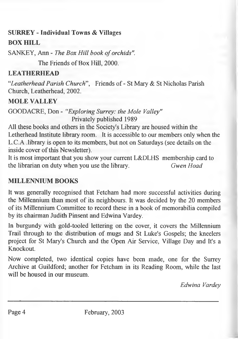### **SURREY - Individual Towns & Villages**

#### **BOX HILL**

SANKEY, Ann - *The Box Hill book of orchids"*.

The Friends of Box Hill, 2000.

#### **LEATHERHEAD**

*"Leatherhead Parish Church*", Friends of - St Mary & St Nicholas Parish Church, Leatherhead, 2002.

**MOLE VALLEY**

GOOD ACRE, Don - *"Exploring Surrey: the Mole Valley"* Privately published 1989

All these books and others in the Society's Library are housed within the Letherhead Institute library room. It is accessible to our members only when the L.C.A .library is open to its members, but not on Saturdays (see details on the inside cover of this Newsletter).

It is most important that you show your current L&DLHS membership card to the librarian on duty when you use the library. *Gwen Hoad*

#### **MILLENNIUM BOOKS**

It was generally recognised that Fetcham had more successful activities during the Millennium than most of its neighbours. It was decided by the 20 members of its Millennium Committee to record these in a book of memorabilia compiled by its chairman Judith Pinsent and Edwina Vardey.

In burgundy with gold-tooled lettering on the cover, it covers the Millennium Trail through to the distribution of mugs and St Luke's Gospels; the kneelers project for St Mary's Church and the Open Air Service, Village Day and It's a Knockout.

Now completed, two identical copies have been made, one for the Surrey Archive at Guildford; another for Fetcham in its Reading Room, while the last will be housed in our museum.

*Edwina Vardey*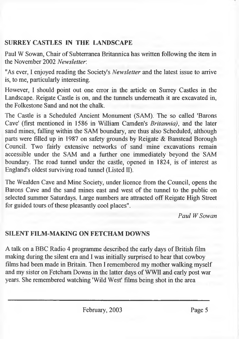#### **SURREY CASTLES IN THE LANDSCAPE**

Paul W Sowan, Chair of Subterranea Britannica has written following the item in the November 2002 *Newsletter.*

"As ever, I enjoyed reading the Society's *Newsletter* and the latest issue to arrive is, to me, particularly interesting.

However, I should point out one error in the article on Surrey Castles in the Landscape. Reigate Castle is on, and the tunnels underneath it are excavated in, the Folkestone Sand and not the chalk.

The Castle is a Scheduled Ancient Monument (SAM). The so called 'Barons Cave' (first mentioned in 1586 in William Camden's *Britannia),* and the later sand mines, falling within the SAM boundary, are thus also Scheduled, although parts were filled up in 1987 on safety grounds by Reigate & Banstead Borough Council. Two fairly extensive networks of sand mine excavations remain accessible under the SAM and a further one immediately beyond the SAM boundary. The road tunnel under the castle, opened in 1824, is of interest as England's oldest surviving road tunnel (Listed II).

The Wealden Cave and Mine Society, under licence from the Council, opens the Barons Cave and the sand mines east and west of the tunnel to the public on selected summer Saturdays. Large numbers are attracted off Reigate High Street for guided tours of these pleasantly cool places".

*Paul W Sowan*

#### **SILENT FILM-MAKING ON FETCHAM DOWNS**

A talk on a BBC Radio 4 programme described the early days of British film making during the silent era and I was initially surprised to hear that cowboy films had been made in Britain. Then I remembered my mother walking myself and my sister on Fetcham Downs in the latter days of WWII and early post war years. She remembered watching 'Wild West' films being shot in the area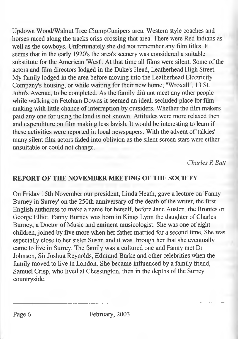Updown Wood/Walnut Tree Clump/Junipers area. Western style coaches and horses raced along the tracks criss-crossing that area. There were Red Indians as well as the cowboys. Unfortunately she did not remember any film titles. It seems that in the early 1920's the area's scenery was considered a suitable substitute for the American 'West'. At that time all films were silent. Some of the actors and film directors lodged in the Duke's Head, Leatherhead High Street. My family lodged in the area before moving into the Leatherhead Electricity Company's housing, or while waiting for their new home; "Wroxall", 13 St. John's Avenue, to be completed. As the family did not meet any other people while walking on Fetcham Downs it seemed an ideal, secluded place for film making with little chance of interruption by outsiders. Whether the film makers paid any one for using the land is not known. Attitudes were more relaxed then and expenditure on film making less lavish. It would be interesting to learn if these activities were reported in local newspapers. With the advent of'talkies' many silent film actors faded into oblivion as the silent screen stars were either unsuitable or could not change.

*Charles R Butt*

#### **REPORT OF THE NOVEMBER MEETING OF THE SOCIETY**

On Friday 15th November our president, Linda Heath, gave a lecture on 'Fanny Burney in Surrey' on the 250th anniversary of the death of the writer, the first English authoress to make a name for herself, before Jane Austen, the Brontes or George Elliot. Fanny Burney was bom in Kings Lynn the daughter of Charles Burney, a Doctor of Music and eminent musicologist. She was one of eight children, joined by five more when her father married for a second time. She was especially close to her sister Susan and it was through her that she eventually came to live in Surrey. The family was a cultured one and Fanny met Dr Johnson, Sir Joshua Reynolds, Edmund Burke and other celebrities when the family moved to live in London. She became influenced by a family friend, Samuel Crisp, who lived at Chessington, then in the depths of the Surrey countryside.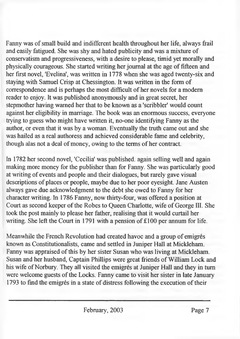Fanny was of small build and indifferent health throughout her life, always frail and easily fatigued. She was shy and hated publicity and was a mixture of conservatism and progressiveness, with a desire to please, timid yet morally and physically courageous. She started writing her journal at the age of fifteen and her first novel, 'Evelina', was written in 1778 when she was aged twenty-six and staying with Samuel Crisp at Chessington. It was written in the form of correspondence and is perhaps the most difficult of her novels for a modem reader to enjoy. It was published anonymously and in great secret, her stepmother having warned her that to be known as a 'scribbler' would count against her eligibility in marriage. The book was an enormous success, everyone trying to guess who might have written it, no-one identifying Fanny as the author, or even that it was by a woman. Eventually the truth came out and she was hailed as a real authoress and achieved considerable fame and celebrity, though alas not a deal of money, owing to the terms of her contract.

In 1782 her second novel, 'Cecilia' was published, again selling well and again making more money for the publisher than for Fanny. She was particularly good at writing of events and people and their dialogues, but rarely gave visual descriptions of places or people, maybe due to her poor eyesight. Jane Austen always gave due acknowledgment to the debt she owed to Fanny for her character writing. In 1786 Fanny, now thirty-four, was offered a position at Court as second keeper of the Robes to Queen Charlotte, wife of George III. She took the post mainly to please her father, realising that it would curtail her writing. She left the Court in 1791 with a pension of £100 per annum for life.

Meanwhile the French Revolution had created havoc and a group of emigres known as Constitutionalists, came and settled in Juniper Hall at Mickleham. Fanny was appraised of this by her sister Susan who was living at Mickleham. Susan and her husband, Captain Phillips were great friends of William Lock and his wife of Norbury. They all visited the emigrés at Juniper Hall and they in turn were welcome guests of the Locks. Fanny came to visit her sister in late January 1793 to find the emigres in a state of distress following the execution of their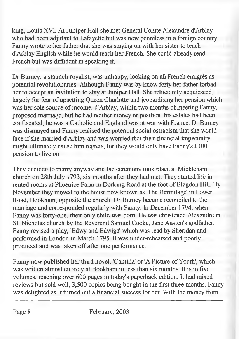king, Louis XVI. At Juniper Hall she met General Comte Alexandre d'Arblay who had been adjutant to Lafayette but was now penniless in a foreign country. Fanny wrote to her father that she was staying on with her sister to teach d'Arblay English while he would teach her French. She could already read French but was diffident in speaking it.

Dr Burney, a staunch royalist, was unhappy, looking on all French emigres as potential revolutionaries. Although Fanny was by know forty her father forbad her to accept an invitation to stay at Juniper Hall. She reluctantly acquiesced, largely for fear of upsetting Queen Charlotte and jeopardising her pension which was her sole source of income. d'Arblay, within two months of meeting Fanny, proposed marriage, but he had neither money or position, his estates had been confiscated, he was a Catholic and England was at war with France. Dr Burney was dismayed and Fanny realised the potential social ostracism that she would face if she married d'Arblay and was worried that their financial impecunity might ultimately cause him regrets, for they would only have Fanny's £100 pension to live on.

They decided to marry anyway and the ceremony took place at Mickleham church on 28th July 1793, six months after they had met. They started life in rented rooms at Phoenice Farm in Dorking Road at the foot of Blagdon Hill. By November they moved to the house now known as 'The Hermitage' in Lower Road, Bookham, opposite the church. Dr Burney became reconciled to the marriage and corresponded regularly with Fanny. In December 1794, when Fanny was forty-one, their only child was bom. He was christened Alexandre in St. Nicholas church by the Reverend Samuel Cooke, Jane Austen's godfather. Fanny revised a play, 'Edwy and Edwiga' which was read by Sheridan and performed in London in March 1795. It was under-rehearsed and poorly produced and was taken off after one performance.

Fanny now published her third novel, 'Camilla' or 'A Picture of Youth', which was written almost entirely at Bookham in less than six months. It is in five volumes, reaching over 600 pages in today's paperback edition. It had mixed reviews but sold well, 3,500 copies being bought in the first three months. Fanny was delighted as it turned out a financial success for her. With the money from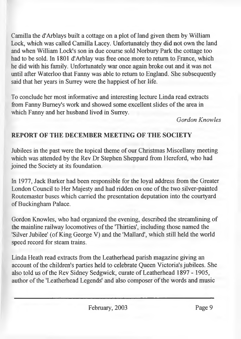Camilla the d'Arblays built a cottage on a plot of land given them by William Lock, which was called Camilla Lacey. Unfortunately they did not own the land and when William Lock's son in due course sold Norbury Park the cottage too had to be sold. In 1801 d'Arblay was free once more to return to France, which he did with his family. Unfortunately war once again broke out and it was not until after Waterloo that Fanny was able to return to England. She subsequently said that her years in Surrey were the happiest of her life.

To conclude her most informative and interesting lecture Linda read extracts from Fanny Burney's work and showed some excellent slides of the area in which Fanny and her husband lived in Surrey.

*Gordon Knowles*

#### **REPORT OF THE DECEMBER MEETING OF THE SOCIETY**

Jubilees in the past were the topical theme of our Christmas Miscellany meeting which was attended by the Rev Dr Stephen Sheppard from Hereford, who had joined the Society at its foundation.

In 1977, Jack Barker had been responsible for the loyal address from the Greater London Council to Her Majesty and had ridden on one of the two silver-painted Routemaster buses which carried the presentation deputation into the courtyard of Buckingham Palace.

Gordon Knowles, who had organized the evening, described the streamlining of the mainline railway locomotives of the 'Thirties', including those named the 'Silver Jubilee' (of King George V) and the 'Mallard', which still held the world speed record for steam trains.

Linda Heath read extracts from the Leatherhead parish magazine giving an account of the children's parties held to celebrate Queen Victoria's jubilees. She also told us of the Rev Sidney Sedgwick, curate of Leatherhead 1897 - 1905, author of the 'Leatherhead Legends' and also composer of the words and music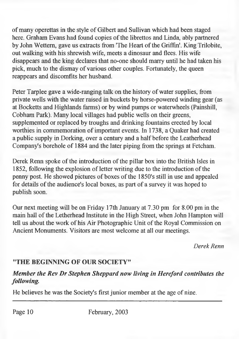of many operettas in the style of Gilbert and Sullivan which had been staged here. Graham Evans had found copies of the librettos and Linda, ably partnered by John Wettem, gave us extracts from 'The Heart of the Griffin'. King Trilobite, out walking with his shrewish wife, meets a dinosaur and flees. His wife disappears and the king declares that no-one should marry until he had taken his pick, much to the dismay of various other couples. Fortunately, the queen reappears and discomfits her husband.

Peter Tarplee gave a wide-ranging talk on the history of water supplies, from private wells with the water raised in buckets by horse-powered winding gear (as at Bocketts and Highlands farms) or by wind pumps or waterwheels (Painshill, Cobham Park). Many local villages had public wells on their greens, supplemented or replaced by troughs and drinking fountains erected by local worthies in commemoration of important events. In 1738, a Quaker had created a public supply in Dorking, over a century and a half before the Leatherhead Company's borehole of 1884 and the later piping from the springs at Fetcham.

Derek Renn spoke of the introduction of the pillar box into the British Isles in 1852, following the explosion of letter writing due to the introduction of the penny post. He showed pictures of boxes of the 1850's still in use and appealed for details of the audience's local boxes, as part of a survey it was hoped to publish soon.

Our next meeting will be on Friday 17th January at 7.30 pm for 8.00 pm in the main hall of the Letherhead Institute in the High Street, when John Hampton will tell us about the work of his Air Photographic Unit of the Royal Commission on Ancient Monuments. Visitors are most welcome at all our meetings.

*Derek Renn*

#### **"THE BEGINNING OF OUR SOCIETY"**

#### *Member the Rev Dr Stephen Sheppard now living in Hereford contributes the following.*

He believes he was the Society's first junior member at the age of nine.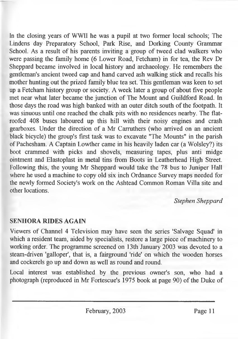In the closing years of WWII he was a pupil at two former local schools; The Lindens day Preparatory School, Park Rise, and Dorking County Grammar School. As a result of his parents inviting a group of tweed clad walkers who were passing the family home (6 Lower Road, Fetcham) in for tea, the Rev Dr Sheppard became involved in local history and archaeology. He remembers the gentleman's ancient tweed cap and hand carved ash walking stick and recalls his mother hunting out the prized family blue tea set. This gentleman was keen to set up a Fetcham history group or society. A week later a group of about five people met near what later became the junction of The Mount and Guildford Road. In those days the road was high banked with an outer ditch south of the footpath. It was sinuous until one reached the chalk pits with no residences nearby. The flatroofed 408 buses laboured up this hill with their noisy engines and crash gearboxes. Under the direction of a Mr Carruthers (who arrived on an ancient black bicycle) the group's first task was to excavate "The Mounts" in the parish of Pachesham. A Captain Lowther came in his heavily laden car (a Wolsley?) its boot crammed with picks and shovels, measuring tapes, plus anti midge ointment and Elastoplast in metal tins from Boots in Leatherhead High Street. Following this, the young Mr Sheppard would take the 78 bus to Juniper Hall where he used a machine to copy old six inch Ordnance Survey maps needed for the newly formed Society's work on the Ashtead Common Roman Villa site and other locations.

#### *Stephen Sheppard*

#### **SENHORA RIDES AGAIN**

Viewers of Channel 4 Television may have seen the series 'Salvage Squad' in which a resident team, aided by specialists, restore a large piece of machinery to working order. The programme screened on 13th January 2003 was devoted to a steam-driven 'galloper', that is, a fairground 'ride' on which the wooden horses and cockerels go up and down as well as round and round.

Local interest was established by the previous owner's son, who had a photograph (reproduced in Mr Fortescue's 1975 book at page 90) of the Duke of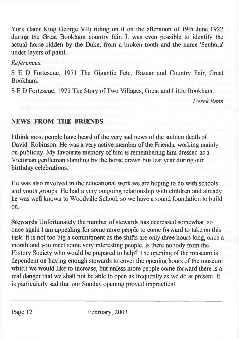York (later King George VII) riding on it on the afternoon of 19th June 1922 during the Great Bookham country fair. It was even possible to identify the actual horse ridden by the Duke, from a broken tooth and the name 'Senhora' under layers of paint.

#### *References:*

S E D Fortescue, 1971 The Gigantic Fete, Bazaar and Country Fair, Great Bookham.

S E D Fortescue, 1975 The Story of Two Villages, Great and Little Bookham.

*Derek Renn*

#### **NEWS FROM THE FRIENDS**

I think most people have heard of the very sad news of the sudden death of David Robinson. He was a very active member of the Friends, working mainly on publicity. My favourite memory of him is remembering him dressed as a Victorian gentleman standing by the horse drawn bus last year during our birthday celebrations.

He was also involved in the educational work we are hoping to do with schools and youth groups. He had a very outgoing relationship with children and already he was well known to Woodville School, so we have a sound foundation to build on.

**Stewards** Unfortunately the number of stewards has decreased somewhat, so once again I am appealing for some more people to come forward to take on this task. It is not too big a commitment as the shifts are only three hours long, once a month and you meet some very interesting people. Is there nobody from the History Society who would be prepared to help? The opening of the museum is dependent on having enough stewards to cover the opening hours of the museum which we would like to increase, but unless more people come forward there is a real danger that we shall not be able to open as frequently as we do at present. It is particularly sad that our Sunday opening proved impractical.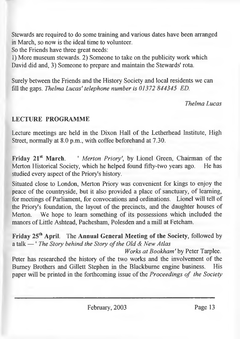Stewards are required to do some training and various dates have been arranged in March, so now is the ideal time to volunteer.

So the Friends have three great needs:

1) More museum stewards. 2) Someone to take on the publicity work which David did and, 3) Someone to prepare and maintain the Stewards' rota.

Surely between the Friends and the History Society and local residents we can fill the gaps. *Thelma Lucas' telephone number is 01372 844345 ED.*

*Thelma Lucas*

#### **LECTURE PROGRAMME**

Lecture meetings are held in the Dixon Hall of the Letherhead Institute, High Street, normally at 8.0 p.m., with coffee beforehand at 7.30.

Friday 21<sup>st</sup> March. <sup>'</sup> *Merton Priory'*, by Lionel Green, Chairman of the Merton Historical Society, which he helped found fifty-two years ago. He has studied every aspect of the Priory's history.

Situated close to London, Merton Priory was convenient for kings to enjoy the peace of the countryside, but it also provided a place of sanctuary, of learning, for meetings of Parliament, for convocations and ordinations. Lionel will tell of the Priory's foundation, the layout of the precincts, and the daughter houses of Merton. We hope to learn something of its possessions which included the manors of Little Ashtead, Pachesham, Polesden and a mill at Fetcham.

**Friday 25th April.** The **Annual General Meeting of the Society,** followed by a talk — ' *The Story behind the Story of the Old & New Atlas* 

*Works at Bookham 'by* Peter Tarplee. Peter has researched the history of the two works and the involvement of the Burney Brothers and Gillett Stephen in the Blackbume engine business. His paper will be printed in the forthcoming issue of the *Proceedings of the Society*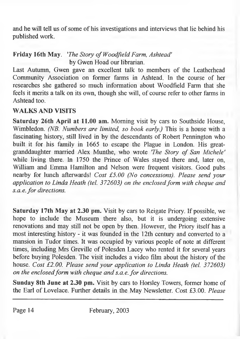and he will tell us of some of his investigations and interviews that lie behind his published work.

#### **Friday 16th May.** *'The Story o/WoodJield Farm, Ashtead'* by Gwen Hoad our librarian.

Last Autumn, Gwen gave an excellent talk to members of the Leatherhead Community Association on former farms in Ashtead. In the course of her researches she gathered so much information about Woodfield Farm that she feels it merits a talk on its own, though she will, of course refer to other farms in Ashtead too.

#### **WALKS AND VISITS**

**Saturday 26th April at** 11.00 **am.** Morning visit by cars to Southside House, Wimbledon. *(NB. Numbers are limited, so book early.)* This is a house with a fascinating history, still lived in by the descendants of Robert Pennington who built it for his family in **1665** to escape the Plague in London. His greatgranddaughter married Alex Munthe, who wrote 'The Story of San Michele' while living there. In **1750** the Prince of Wales stayed there and, later on, William and Emma Hamilton and Nelson were frequent visitors. Good pubs nearby for lunch afterwards! *Cost £5.00 (No concessions). Please send your application to Linda Heath (tel. 372603) on the enclosed form with cheque and*  $s.a.e.$  for directions.

**Saturday 17th May at** 2.30 **pm.** Visit by cars to Reigate Priory. If possible, we hope to include the Museum there also, but it is undergoing extensive renovations and may still not be open by then. However, the Priory itself has a most interesting history - it was founded in the 12th century and converted to a mansion in Tudor times. It was occupied by various people of note at different times, including Mrs Greville of Polesden Lacey who rented it for several years before buying Polesden. The visit includes a video film about the history of the house. *Cost £2.00. Please send your application to Linda Heath (tel. 372603) on the enclosed form with cheque and s.a.e. for directions.* 

**Sunday 8th June at** 2.30 **pm.** Visit by cars to Horsley Towers, former home of the Earl of Lovelace. Further details in the May Newsletter. Cost **£3.00.** *Please*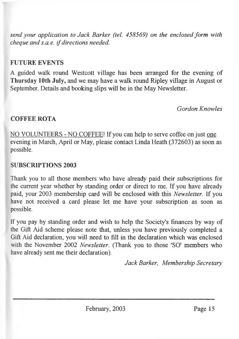*send your application to Jack Barker (tel. 458569) on the enclosed form with cheque and s.a.e. if directions needed.*

#### **FUTURE EVENTS**

A guided walk round Westcott village has been arranged for the evening of **Thursday 10th July,** and we may have a walk round Ripley village in August or September. Details and booking slips will be in the May Newsletter.

*Gordon Knowles*

#### **COFFEE ROTA**

NO VOLUNTEERS - NO COFFEE! If you can help to serve coffee on just one evening in March, April or May, please contact Linda Heath (372603) as soon as possible.

#### **SUBSCRIPTIONS 2003**

Thank you to all those members who have already paid their subscriptions for the current year whether by standing order or direct to me. If you have already paid, your 2003 membership card will be enclosed with this *Newsletter.* If you have not received a card please let me have your subscription as soon as possible.

If you pay by standing order and wish to help the Society's finances by way of the Gift Aid scheme please note that, unless you have previously completed a Gift Aid declaration, you will need to fill in the declaration which was enclosed with the November 2002 *Newsletter.* (Thank you to those 'SO' members who have already sent me their declaration).

*Jack Barker, Membership Secretary*